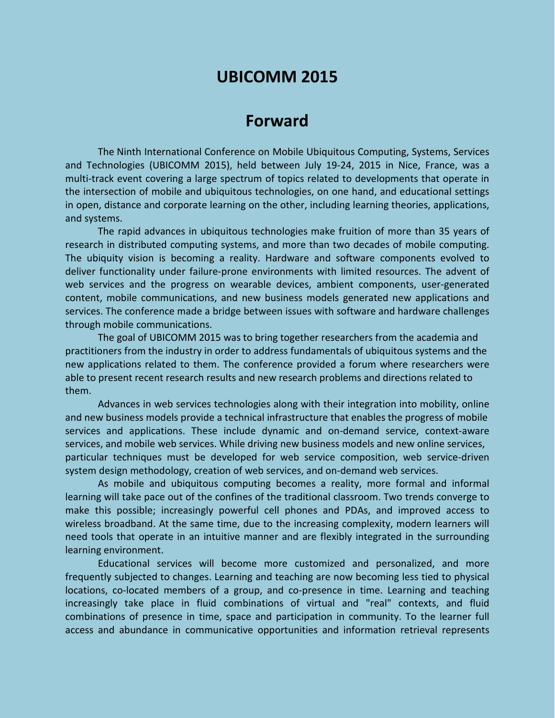# **UBICOMM 2015**

# **Forward**

The Ninth International Conference on Mobile Ubiquitous Computing, Systems, Services and Technologies (UBICOMM 2015), held between July 19-24, 2015 in Nice, France, was a multi-track event covering a large spectrum of topics related to developments that operate in the intersection of mobile and ubiquitous technologies, on one hand, and educational settings in open, distance and corporate learning on the other, including learning theories, applications, and systems.

The rapid advances in ubiquitous technologies make fruition of more than 35 years of research in distributed computing systems, and more than two decades of mobile computing. The ubiquity vision is becoming a reality. Hardware and software components evolved to deliver functionality under failure-prone environments with limited resources. The advent of web services and the progress on wearable devices, ambient components, user-generated content, mobile communications, and new business models generated new applications and services. The conference made a bridge between issues with software and hardware challenges through mobile communications.

The goal of UBICOMM 2015 was to bring together researchers from the academia and practitioners from the industry in order to address fundamentals of ubiquitous systems and the new applications related to them. The conference provided a forum where researchers were able to present recent research results and new research problems and directions related to them.

Advances in web services technologies along with their integration into mobility, online and new business models provide a technical infrastructure that enables the progress of mobile services and applications. These include dynamic and on-demand service, context-aware services, and mobile web services. While driving new business models and new online services, particular techniques must be developed for web service composition, web service-driven system design methodology, creation of web services, and on-demand web services.

As mobile and ubiquitous computing becomes a reality, more formal and informal learning will take pace out of the confines of the traditional classroom. Two trends converge to make this possible; increasingly powerful cell phones and PDAs, and improved access to wireless broadband. At the same time, due to the increasing complexity, modern learners will need tools that operate in an intuitive manner and are flexibly integrated in the surrounding learning environment.

Educational services will become more customized and personalized, and more frequently subjected to changes. Learning and teaching are now becoming less tied to physical locations, co-located members of a group, and co-presence in time. Learning and teaching increasingly take place in fluid combinations of virtual and "real" contexts, and fluid combinations of presence in time, space and participation in community. To the learner full access and abundance in communicative opportunities and information retrieval represents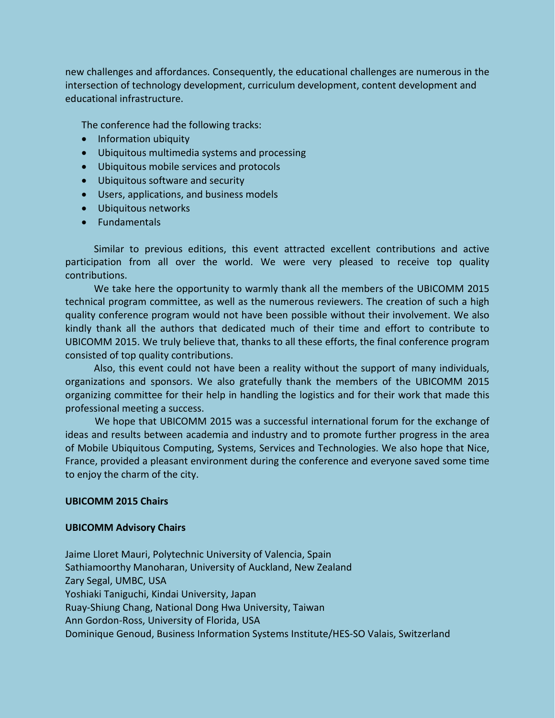new challenges and affordances. Consequently, the educational challenges are numerous in the intersection of technology development, curriculum development, content development and educational infrastructure.

The conference had the following tracks:

- Information ubiquity
- Ubiquitous multimedia systems and processing
- Ubiquitous mobile services and protocols
- Ubiquitous software and security
- Users, applications, and business models
- Ubiquitous networks
- Fundamentals

Similar to previous editions, this event attracted excellent contributions and active participation from all over the world. We were very pleased to receive top quality contributions.

We take here the opportunity to warmly thank all the members of the UBICOMM 2015 technical program committee, as well as the numerous reviewers. The creation of such a high quality conference program would not have been possible without their involvement. We also kindly thank all the authors that dedicated much of their time and effort to contribute to UBICOMM 2015. We truly believe that, thanks to all these efforts, the final conference program consisted of top quality contributions.

Also, this event could not have been a reality without the support of many individuals, organizations and sponsors. We also gratefully thank the members of the UBICOMM 2015 organizing committee for their help in handling the logistics and for their work that made this professional meeting a success.

We hope that UBICOMM 2015 was a successful international forum for the exchange of ideas and results between academia and industry and to promote further progress in the area of Mobile Ubiquitous Computing, Systems, Services and Technologies. We also hope that Nice, France, provided a pleasant environment during the conference and everyone saved some time to enjoy the charm of the city.

### **UBICOMM 2015 Chairs**

#### **UBICOMM Advisory Chairs**

Jaime Lloret Mauri, Polytechnic University of Valencia, Spain Sathiamoorthy Manoharan, University of Auckland, New Zealand Zary Segal, UMBC, USA Yoshiaki Taniguchi, Kindai University, Japan Ruay-Shiung Chang, National Dong Hwa University, Taiwan Ann Gordon-Ross, University of Florida, USA Dominique Genoud, Business Information Systems Institute/HES-SO Valais, Switzerland